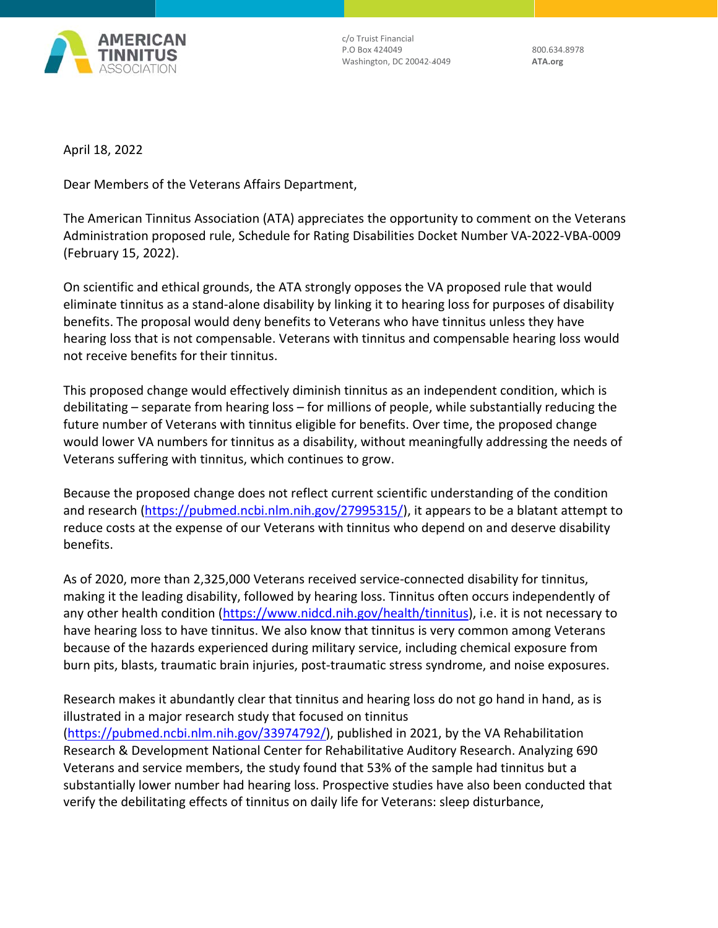

c/o Truist Financial P.O Box 424049 800.634.8978 Washington, DC 20042‐4049 **ATA.org**

April 18, 2022

Dear Members of the Veterans Affairs Department,

The American Tinnitus Association (ATA) appreciates the opportunity to comment on the Veterans Administration proposed rule, Schedule for Rating Disabilities Docket Number VA‐2022‐VBA‐0009 (February 15, 2022).

On scientific and ethical grounds, the ATA strongly opposes the VA proposed rule that would eliminate tinnitus as a stand‐alone disability by linking it to hearing loss for purposes of disability benefits. The proposal would deny benefits to Veterans who have tinnitus unless they have hearing loss that is not compensable. Veterans with tinnitus and compensable hearing loss would not receive benefits for their tinnitus.

This proposed change would effectively diminish tinnitus as an independent condition, which is debilitating – separate from hearing loss – for millions of people, while substantially reducing the future number of Veterans with tinnitus eligible for benefits. Over time, the proposed change would lower VA numbers for tinnitus as a disability, without meaningfully addressing the needs of Veterans suffering with tinnitus, which continues to grow.

Because the proposed change does not reflect current scientific understanding of the condition and research (https://pubmed.ncbi.nlm.nih.gov/27995315/), it appears to be a blatant attempt to reduce costs at the expense of our Veterans with tinnitus who depend on and deserve disability benefits.

As of 2020, more than 2,325,000 Veterans received service‐connected disability for tinnitus, making it the leading disability, followed by hearing loss. Tinnitus often occurs independently of any other health condition (https://www.nidcd.nih.gov/health/tinnitus), i.e. it is not necessary to have hearing loss to have tinnitus. We also know that tinnitus is very common among Veterans because of the hazards experienced during military service, including chemical exposure from burn pits, blasts, traumatic brain injuries, post‐traumatic stress syndrome, and noise exposures.

Research makes it abundantly clear that tinnitus and hearing loss do not go hand in hand, as is illustrated in a major research study that focused on tinnitus (https://pubmed.ncbi.nlm.nih.gov/33974792/), published in 2021, by the VA Rehabilitation Research & Development National Center for Rehabilitative Auditory Research. Analyzing 690 Veterans and service members, the study found that 53% of the sample had tinnitus but a substantially lower number had hearing loss. Prospective studies have also been conducted that verify the debilitating effects of tinnitus on daily life for Veterans: sleep disturbance,